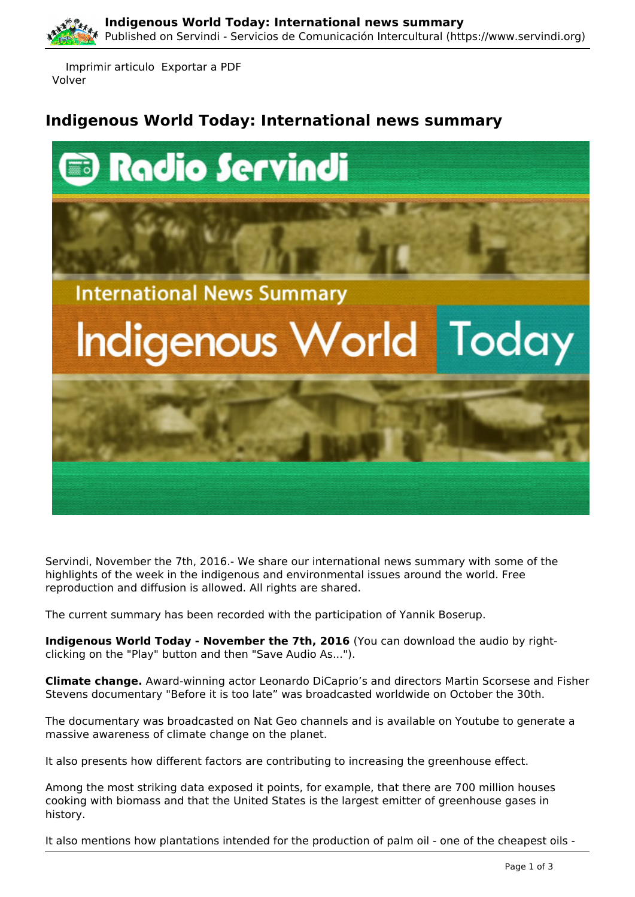

 Imprimir articulo Exportar a PDF Volver

## **Indigenous World Today: International news summary**



Servindi, November the 7th, 2016.- We share our international news summary with some of the highlights of the week in the indigenous and environmental issues around the world. Free reproduction and diffusion is allowed. All rights are shared.

The current summary has been recorded with the participation of Yannik Boserup.

**Indigenous World Today - November the 7th, 2016** (You can download the audio by rightclicking on the "Play" button and then "Save Audio As...").

**Climate change.** Award-winning actor Leonardo DiCaprio's and directors Martin Scorsese and Fisher Stevens documentary "Before it is too late" was broadcasted worldwide on October the 30th.

The documentary was broadcasted on Nat Geo channels and is available on Youtube to generate a massive awareness of climate change on the planet.

It also presents how different factors are contributing to increasing the greenhouse effect.

Among the most striking data exposed it points, for example, that there are 700 million houses cooking with biomass and that the United States is the largest emitter of greenhouse gases in history.

It also mentions how plantations intended for the production of palm oil - one of the cheapest oils -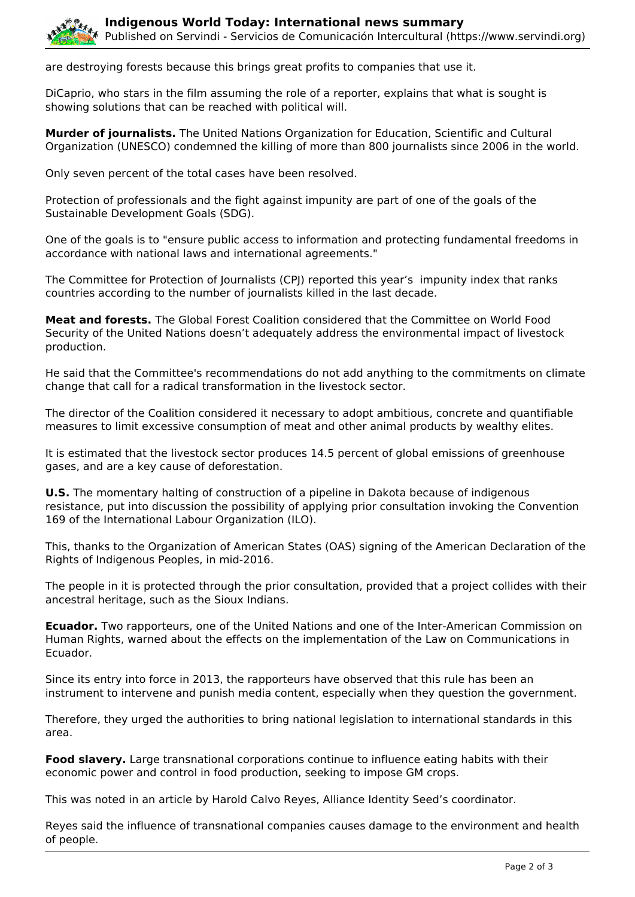

are destroying forests because this brings great profits to companies that use it.

DiCaprio, who stars in the film assuming the role of a reporter, explains that what is sought is showing solutions that can be reached with political will.

**Murder of journalists.** The United Nations Organization for Education, Scientific and Cultural Organization (UNESCO) condemned the killing of more than 800 journalists since 2006 in the world.

Only seven percent of the total cases have been resolved.

Protection of professionals and the fight against impunity are part of one of the goals of the Sustainable Development Goals (SDG).

One of the goals is to "ensure public access to information and protecting fundamental freedoms in accordance with national laws and international agreements."

The Committee for Protection of Journalists (CPJ) reported this year's impunity index that ranks countries according to the number of journalists killed in the last decade.

**Meat and forests.** The Global Forest Coalition considered that the Committee on World Food Security of the United Nations doesn't adequately address the environmental impact of livestock production.

He said that the Committee's recommendations do not add anything to the commitments on climate change that call for a radical transformation in the livestock sector.

The director of the Coalition considered it necessary to adopt ambitious, concrete and quantifiable measures to limit excessive consumption of meat and other animal products by wealthy elites.

It is estimated that the livestock sector produces 14.5 percent of global emissions of greenhouse gases, and are a key cause of deforestation.

**U.S.** The momentary halting of construction of a pipeline in Dakota because of indigenous resistance, put into discussion the possibility of applying prior consultation invoking the Convention 169 of the International Labour Organization (ILO).

This, thanks to the Organization of American States (OAS) signing of the American Declaration of the Rights of Indigenous Peoples, in mid-2016.

The people in it is protected through the prior consultation, provided that a project collides with their ancestral heritage, such as the Sioux Indians.

**Ecuador.** Two rapporteurs, one of the United Nations and one of the Inter-American Commission on Human Rights, warned about the effects on the implementation of the Law on Communications in Ecuador.

Since its entry into force in 2013, the rapporteurs have observed that this rule has been an instrument to intervene and punish media content, especially when they question the government.

Therefore, they urged the authorities to bring national legislation to international standards in this area.

**Food slavery.** Large transnational corporations continue to influence eating habits with their economic power and control in food production, seeking to impose GM crops.

This was noted in an article by Harold Calvo Reyes, Alliance Identity Seed's coordinator.

Reyes said the influence of transnational companies causes damage to the environment and health of people.